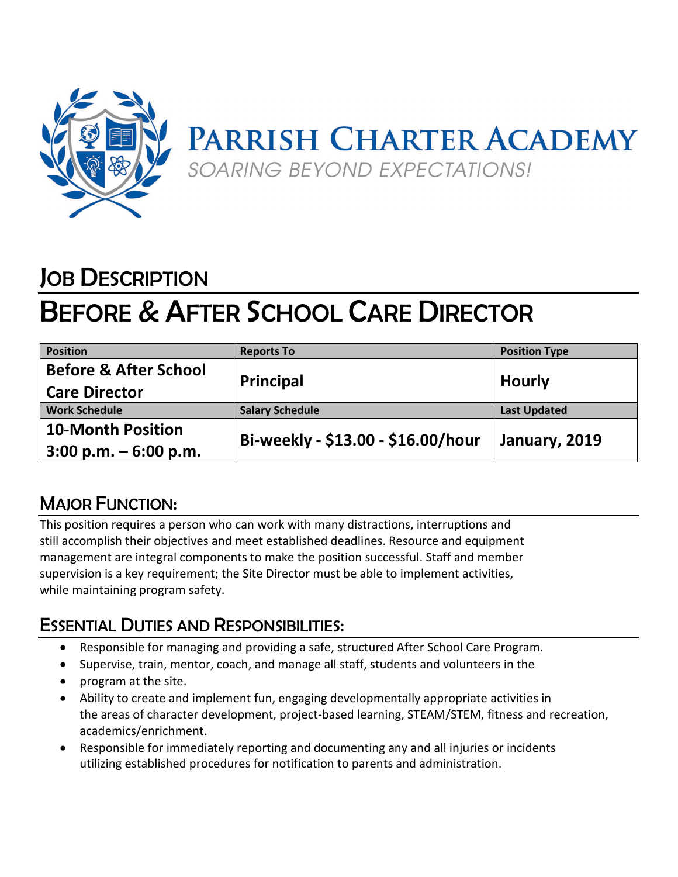

# JOB DESCRIPTION

## BEFORE & AFTER SCHOOL CARE DIRECTOR

| <b>Position</b>                  | <b>Reports To</b>                  | <b>Position Type</b> |
|----------------------------------|------------------------------------|----------------------|
| <b>Before &amp; After School</b> | <b>Principal</b>                   | <b>Hourly</b>        |
| <b>Care Director</b>             |                                    |                      |
| <b>Work Schedule</b>             | <b>Salary Schedule</b>             | <b>Last Updated</b>  |
| <b>10-Month Position</b>         | Bi-weekly - \$13.00 - \$16.00/hour | January, 2019        |
| $3:00$ p.m. $-6:00$ p.m.         |                                    |                      |

### MAJOR FUNCTION:

This position requires a person who can work with many distractions, interruptions and still accomplish their objectives and meet established deadlines. Resource and equipment management are integral components to make the position successful. Staff and member supervision is a key requirement; the Site Director must be able to implement activities, while maintaining program safety.

### ESSENTIAL DUTIES AND RESPONSIBILITIES:

- Responsible for managing and providing a safe, structured After School Care Program.
- Supervise, train, mentor, coach, and manage all staff, students and volunteers in the
- program at the site.
- Ability to create and implement fun, engaging developmentally appropriate activities in the areas of character development, project-based learning, STEAM/STEM, fitness and recreation, academics/enrichment.
- Responsible for immediately reporting and documenting any and all injuries or incidents utilizing established procedures for notification to parents and administration.